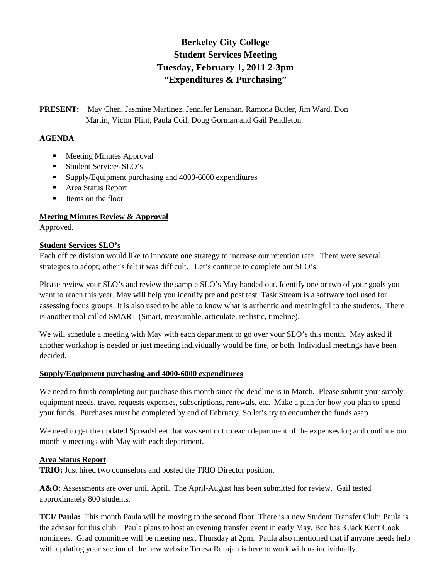# **Berkeley City College Student Services Meeting Tuesday, February 1, 2011 2-3pm "Expenditures & Purchasing"**

**PRESENT:** May Chen, Jasmine Martinez, Jennifer Lenahan, Ramona Butler, Jim Ward, Don Martin, Victor Flint, Paula Coil, Doug Gorman and Gail Pendleton.

#### **AGENDA**

- Meeting Minutes Approval
- **Student Services SLO's**
- **Supply/Equipment purchasing and 4000-6000 expenditures**
- Area Status Report
- **I** Items on the floor

## **Meeting Minutes Review & Approval**

Approved.

## **Student Services SLO's**

Each office division would like to innovate one strategy to increase our retention rate. There were several strategies to adopt; other's felt it was difficult. Let's continue to complete our SLO's.

Please review your SLO's and review the sample SLO's May handed out. Identify one or two of your goals you want to reach this year. May will help you identify pre and post test. Task Stream is a software tool used for assessing focus groups. It is also used to be able to know what is authentic and meaningful to the students. There is another tool called SMART (Smart, measurable, articulate, realistic, timeline).

We will schedule a meeting with May with each department to go over your SLO's this month. May asked if another workshop is needed or just meeting individually would be fine, or both. Individual meetings have been decided.

#### **Supply/Equipment purchasing and 4000-6000 expenditures**

We need to finish completing our purchase this month since the deadline is in March. Please submit your supply equipment needs, travel requests expenses, subscriptions, renewals, etc. Make a plan for how you plan to spend your funds. Purchases must be completed by end of February. So let's try to encumber the funds asap.

We need to get the updated Spreadsheet that was sent out to each department of the expenses log and continue our monthly meetings with May with each department.

## **Area Status Report**

**TRIO:** Just hired two counselors and posted the TRIO Director position.

A&O: Assessments are over until April. The April-August has been submitted for review. Gail tested approximately 800 students.

**TCI/ Paula:** This month Paula will be moving to the second floor. There is a new Student Transfer Club; Paula is the advisor for this club. Paula plans to host an evening transfer event in early May. Bcc has 3 Jack Kent Cook nominees. Grad committee will be meeting next Thursday at 2pm. Paula also mentioned that if anyone needs help with updating your section of the new website Teresa Rumjan is here to work with us individually.